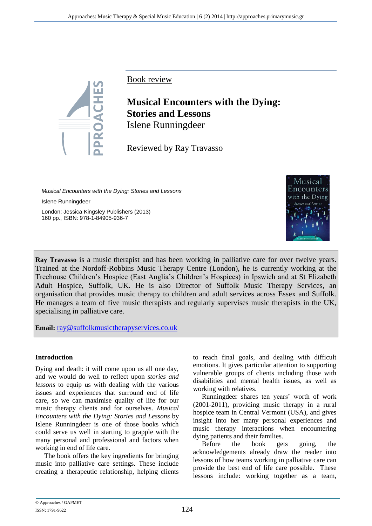

Book review

# **Musical Encounters with the Dying: Stories and Lessons** Islene Runningdeer

Reviewed by Ray Travasso

*Musical Encounters with the Dying: Stories and Lessons*  Islene Runningdeer London: Jessica Kingsley Publishers (2013) 160 pp., ISBN: 978-1-84905-936-7



**Ray Travasso** is a music therapist and has been working in palliative care for over twelve years. Trained at the Nordoff-Robbins Music Therapy Centre (London), he is currently working at the Treehouse Children's Hospice (East Anglia's Children's Hospices) in Ipswich and at St Elizabeth Adult Hospice, Suffolk, UK. He is also Director of Suffolk Music Therapy Services, an organisation that provides music therapy to children and adult services across Essex and Suffolk. He manages a team of five music therapists and regularly supervises music therapists in the UK, specialising in palliative care.

**Email:** [ray@suffolkmusictherapyservices.co.uk](mailto:ray@suffolkmusictherapyservices.co.uk)

## **Introduction**

Dying and death: it will come upon us all one day, and we would do well to reflect upon *stories and lessons* to equip us with dealing with the various issues and experiences that surround end of life care, so we can maximise quality of life for our music therapy clients and for ourselves. *Musical Encounters with the Dying: Stories and Lessons* by Islene Runningdeer is one of those books which could serve us well in starting to grapple with the many personal and professional and factors when working in end of life care.

The book offers the key ingredients for bringing music into palliative care settings. These include creating a therapeutic relationship, helping clients

to reach final goals, and dealing with difficult emotions. It gives particular attention to supporting vulnerable groups of clients including those with disabilities and mental health issues, as well as working with relatives.

Runningdeer shares ten years' worth of work (2001-2011), providing music therapy in a rural hospice team in Central Vermont (USA), and gives insight into her many personal experiences and music therapy interactions when encountering dying patients and their families.

Before the book gets going, the acknowledgements already draw the reader into lessons of how teams working in palliative care can provide the best end of life care possible. These lessons include: working together as a team,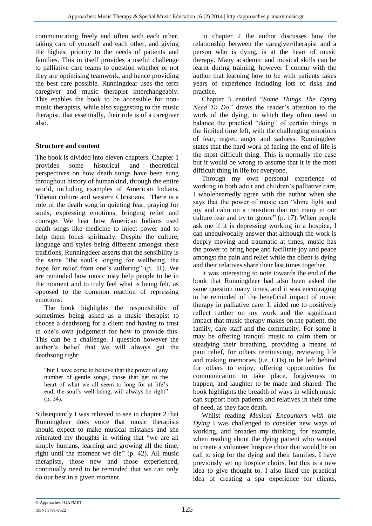communicating freely and often with each other, taking care of yourself and each other, and giving the highest priority to the needs of patients and families. This in itself provides a useful challenge to palliative care teams to question whether or not they are optimising teamwork, and hence providing the best care possible. Runningdear uses the term caregiver and music therapist interchangeably. This enables the book to be accessible for nonmusic therapists, while also suggesting to the music therapist, that essentially, their role is of a caregiver also.

## **Structure and content**

The book is divided into eleven chapters. Chapter 1 provides some historical and theoretical perspectives on how death songs have been sung throughout history of humankind, through the entire world, including examples of American Indians, Tibetan culture and western Christians. There is a role of the death song in quieting fear, praying for souls, expressing emotions, bringing relief and courage. We hear how American Indians used death songs like medicine to inject power and to help them focus spiritually. Despite the culture, language and styles being different amongst these traditions, Runningdeer asserts that the sensibility is the same "the soul's longing for wellbeing, the hope for relief from one's suffering" (p. 31). We are reminded how music may help people to be in the moment and to truly feel what is being felt, as opposed to the common reaction of repressing emotions.

The book highlights the responsibility of sometimes being asked as a music therapist to choose a deathsong for a client and having to trust in one's own judgement for how to provide this. This can be a challenge. I question however the author's belief that we will always get the deathsong right:

"but I have come to believe that the power of any number of gentle songs, those that get to the heart of what we all seem to long for at life's end, the soul's well-being, will always be right" (p. 34).

Subsequently I was relieved to see in chapter 2 that Runningdeer does voice that music therapists should expect to make musical mistakes and she reiterated my thoughts in writing that "we are all simply humans, learning and growing all the time, right until the moment we die" (p. 42). All music therapists, those new and those experienced, continually need to be reminded that we can only do our best in a given moment.

In chapter 2 the author discusses how the relationship between the caregiver/therapist and a person who is dying, is at the heart of music therapy. Many academic and musical skills can be learnt during training, however I concur with the author that learning how to be with patients takes years of experience including lots of risks and practice.

Chapter 3 entitled "*Some Things The Dying Need To Do"* draws the reader's attention to the work of the dying, in which they often need to balance the practical "doing" of certain things in the limited time left, with the challenging emotions of fear, regret, anger and sadness. Runningdeer states that the hard work of facing the end of life is the most difficult thing. This is normally the case but it would be wrong to assume that it is the most difficult thing in life for everyone.

Through my own personal experience of working in both adult and children's palliative care, I wholeheartedly agree with the author when she says that the power of music can "shine light and joy and calm on a transition that too many in our culture fear and try to ignore" (p. 17). When people ask me if it is depressing working in a hospice, I can unequivocally answer that although the work is deeply moving and traumatic at times, music has the power to bring hope and facilitate joy and peace amongst the pain and relief while the client is dying and their relatives share their last times together.

It was interesting to note towards the end of the book that Runningdeer had also been asked the same question many times, and it was encouraging to be reminded of the beneficial impact of music therapy in palliative care. It aided me to positively reflect further on my work and the significant impact that music therapy makes on the patient, the family, care staff and the community. For some it may be offering tranquil music to calm them or steadying their breathing, providing a means of pain relief, for others reminiscing, reviewing life and making memories (i.e. CDs) to be left behind for others to enjoy, offering opportunities for communication to take place, forgiveness to happen, and laughter to be made and shared. The book highlights the breadth of ways in which music can support both patients and relatives in their time of need, as they face death.

Whilst reading *Musical Encounters with the Dying* I was challenged to consider new ways of working, and broaden my thinking, for example, when reading about the dying patient who wanted to create a volunteer hospice choir that would be on call to sing for the dying and their families. I have previously set up hospice choirs, but this is a new idea to give thought to. I also liked the practical idea of creating a spa experience for clients,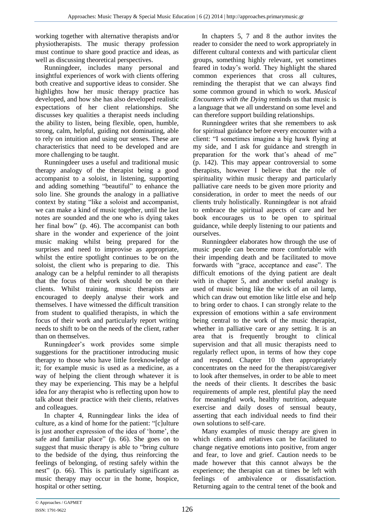working together with alternative therapists and/or physiotherapists. The music therapy profession must continue to share good practice and ideas, as well as discussing theoretical perspectives.

Runningdeer, includes many personal and insightful experiences of work with clients offering both creative and supportive ideas to consider. She highlights how her music therapy practice has developed, and how she has also developed realistic expectations of her client relationships. She discusses key qualities a therapist needs including the ability to listen, being flexible, open, humble, strong, calm, helpful, guiding not dominating, able to rely on intuition and using our senses. These are characteristics that need to be developed and are more challenging to be taught.

Runningdeer uses a useful and traditional music therapy analogy of the therapist being a good accompanist to a soloist, in listening, supporting and adding something "beautiful" to enhance the solo line. She grounds the analogy in a palliative context by stating "like a soloist and accompanist, we can make a kind of music together, until the last notes are sounded and the one who is dying takes her final bow" (p. 46). The accompanist can both share in the wonder and experience of the joint music making whilst being prepared for the surprises and need to improvise as appropriate, whilst the entire spotlight continues to be on the soloist, the client who is preparing to die. This analogy can be a helpful reminder to all therapists that the focus of their work should be on their clients. Whilst training, music therapists are encouraged to deeply analyse their work and themselves. I have witnessed the difficult transition from student to qualified therapists, in which the focus of their work and particularly report writing needs to shift to be on the needs of the client, rather than on themselves.

Runningdeer's work provides some simple suggestions for the practitioner introducing music therapy to those who have little foreknowledge of it; for example music is used as a medicine, as a way of helping the client through whatever it is they may be experiencing. This may be a helpful idea for any therapist who is reflecting upon how to talk about their practice with their clients, relatives and colleagues.

In chapter 4, Runningdear links the idea of culture, as a kind of home for the patient: "[c]ulture is just another expression of the idea of 'home', the safe and familiar place" (p. 66). She goes on to suggest that music therapy is able to "bring culture to the bedside of the dying, thus reinforcing the feelings of belonging, of resting safely within the nest" (p. 66). This is particularly significant as music therapy may occur in the home, hospice, hospital or other setting.

In chapters 5, 7 and 8 the author invites the reader to consider the need to work appropriately in different cultural contexts and with particular client groups, something highly relevant, yet sometimes feared in today's world. They highlight the shared common experiences that cross all cultures, reminding the therapist that we can always find some common ground in which to work. *Musical Encounters with the Dying* reminds us that music is a language that we all understand on some level and can therefore support building relationships.

Runningdeer writes that she remembers to ask for spiritual guidance before every encounter with a client: "I sometimes imagine a big hawk flying at my side, and I ask for guidance and strength in preparation for the work that's ahead of me" (p. 142). This may appear controversial to some therapists, however I believe that the role of spirituality within music therapy and particularly palliative care needs to be given more priority and consideration, in order to meet the needs of our clients truly holistically. Runningdear is not afraid to embrace the spiritual aspects of care and her book encourages us to be open to spiritual guidance, while deeply listening to our patients and ourselves.

Runningdeer elaborates how through the use of music people can become more comfortable with their impending death and be facilitated to move forwards with "grace, acceptance and ease". The difficult emotions of the dying patient are dealt with in chapter 5, and another useful analogy is used of music being like the wick of an oil lamp, which can draw out emotion like little else and help to bring order to chaos. I can strongly relate to the expression of emotions within a safe environment being central to the work of the music therapist, whether in palliative care or any setting. It is an area that is frequently brought to clinical supervision and that all music therapists need to regularly reflect upon, in terms of how they cope and respond. Chapter 10 then appropriately concentrates on the need for the therapist/caregiver to look after themselves, in order to be able to meet the needs of their clients. It describes the basic requirements of ample rest, plentiful play the need for meaningful work, healthy nutrition, adequate exercise and daily doses of sensual beauty, asserting that each individual needs to find their own solutions to self-care.

Many examples of music therapy are given in which clients and relatives can be facilitated to change negative emotions into positive, from anger and fear, to love and grief. Caution needs to be made however that this cannot always be the experience; the therapist can at times be left with feelings of ambivalence or dissatisfaction. Returning again to the central tenet of the book and